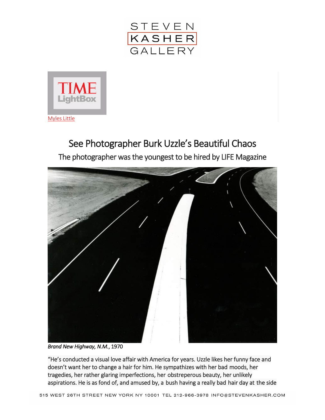



## See Photographer Burk Uzzle's Beautiful Chaos The photographer was the youngest to be hired by LIFE Magazine



*Brand New Highway, N.M.*, 1970

"He's conducted a visual love affair with America for years. Uzzle likes her funny face and doesn't want her to change a hair for him. He sympathizes with her bad moods, her tragedies, her rather glaring imperfections, her obstreperous beauty, her unlikely aspirations. He is as fond of, and amused by, a bush having a really bad hair day at the side